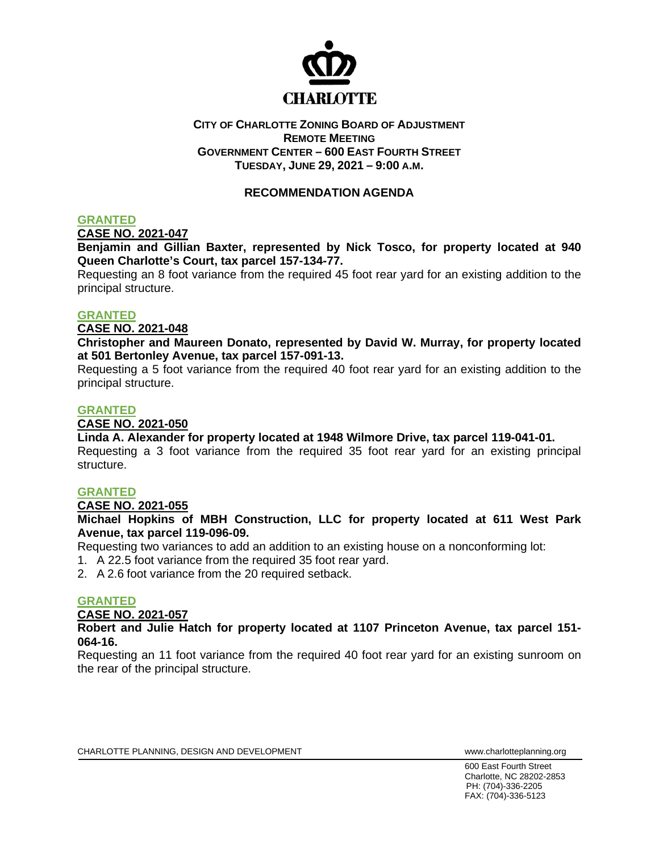

## **CITY OF CHARLOTTE ZONING BOARD OF ADJUSTMENT REMOTE MEETING GOVERNMENT CENTER – 600 EAST FOURTH STREET TUESDAY, JUNE 29, 2021 – 9:00 A.M.**

# **RECOMMENDATION AGENDA**

# **GRANTED**

**CASE NO. 2021-047**

**Benjamin and Gillian Baxter, represented by Nick Tosco, for property located at 940 Queen Charlotte's Court, tax parcel 157-134-77.**

Requesting an 8 foot variance from the required 45 foot rear yard for an existing addition to the principal structure.

#### **GRANTED**

## **CASE NO. 2021-048**

**Christopher and Maureen Donato, represented by David W. Murray, for property located at 501 Bertonley Avenue, tax parcel 157-091-13.**

Requesting a 5 foot variance from the required 40 foot rear yard for an existing addition to the principal structure.

## **GRANTED**

#### **CASE NO. 2021-050**

**Linda A. Alexander for property located at 1948 Wilmore Drive, tax parcel 119-041-01.** Requesting a 3 foot variance from the required 35 foot rear yard for an existing principal structure.

## **GRANTED**

#### **CASE NO. 2021-055**

**Michael Hopkins of MBH Construction, LLC for property located at 611 West Park Avenue, tax parcel 119-096-09.**

Requesting two variances to add an addition to an existing house on a nonconforming lot:

1. A 22.5 foot variance from the required 35 foot rear yard.

2. A 2.6 foot variance from the 20 required setback.

# **GRANTED**

**CASE NO. 2021-057**

**Robert and Julie Hatch for property located at 1107 Princeton Avenue, tax parcel 151- 064-16.**

Requesting an 11 foot variance from the required 40 foot rear yard for an existing sunroom on the rear of the principal structure.

CHARLOTTE PLANNING, DESIGN AND DEVELOPMENT WWW.Charlotteplanning.org

600 East Fourth Street Charlotte, NC 28202-2853 PH: (704)-336-2205 FAX: (704)-336-5123